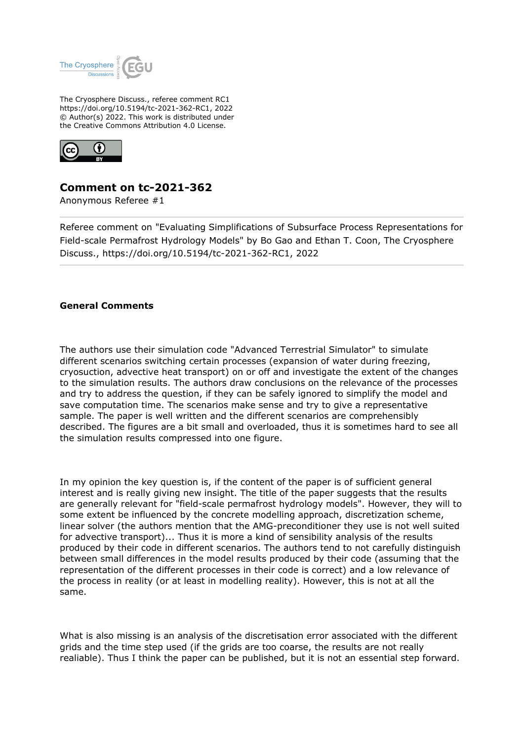

The Cryosphere Discuss., referee comment RC1 https://doi.org/10.5194/tc-2021-362-RC1, 2022 © Author(s) 2022. This work is distributed under the Creative Commons Attribution 4.0 License.



## **Comment on tc-2021-362**

Anonymous Referee #1

Referee comment on "Evaluating Simplifications of Subsurface Process Representations for Field-scale Permafrost Hydrology Models" by Bo Gao and Ethan T. Coon, The Cryosphere Discuss., https://doi.org/10.5194/tc-2021-362-RC1, 2022

## **General Comments**

The authors use their simulation code "Advanced Terrestrial Simulator" to simulate different scenarios switching certain processes (expansion of water during freezing, cryosuction, advective heat transport) on or off and investigate the extent of the changes to the simulation results. The authors draw conclusions on the relevance of the processes and try to address the question, if they can be safely ignored to simplify the model and save computation time. The scenarios make sense and try to give a representative sample. The paper is well written and the different scenarios are comprehensibly described. The figures are a bit small and overloaded, thus it is sometimes hard to see all the simulation results compressed into one figure.

In my opinion the key question is, if the content of the paper is of sufficient general interest and is really giving new insight. The title of the paper suggests that the results are generally relevant for "field-scale permafrost hydrology models". However, they will to some extent be influenced by the concrete modelling approach, discretization scheme, linear solver (the authors mention that the AMG-preconditioner they use is not well suited for advective transport)... Thus it is more a kind of sensibility analysis of the results produced by their code in different scenarios. The authors tend to not carefully distinguish between small differences in the model results produced by their code (assuming that the representation of the different processes in their code is correct) and a low relevance of the process in reality (or at least in modelling reality). However, this is not at all the same.

What is also missing is an analysis of the discretisation error associated with the different grids and the time step used (if the grids are too coarse, the results are not really realiable). Thus I think the paper can be published, but it is not an essential step forward.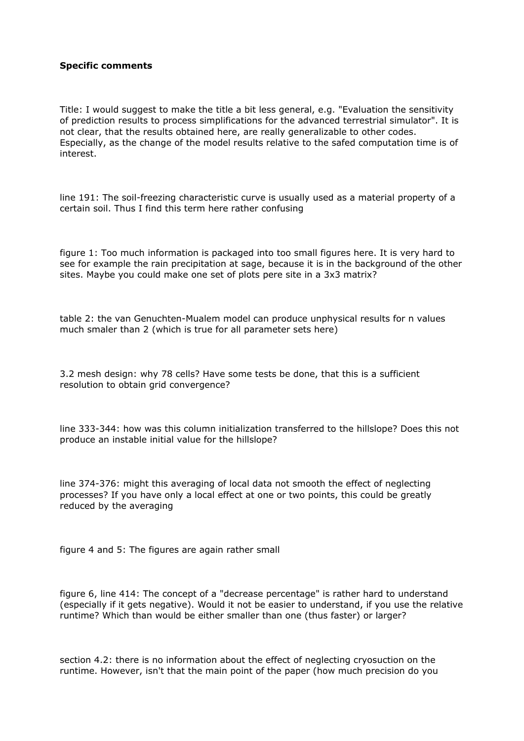## **Specific comments**

Title: I would suggest to make the title a bit less general, e.g. "Evaluation the sensitivity of prediction results to process simplifications for the advanced terrestrial simulator". It is not clear, that the results obtained here, are really generalizable to other codes. Especially, as the change of the model results relative to the safed computation time is of interest.

line 191: The soil-freezing characteristic curve is usually used as a material property of a certain soil. Thus I find this term here rather confusing

figure 1: Too much information is packaged into too small figures here. It is very hard to see for example the rain precipitation at sage, because it is in the background of the other sites. Maybe you could make one set of plots pere site in a 3x3 matrix?

table 2: the van Genuchten-Mualem model can produce unphysical results for n values much smaler than 2 (which is true for all parameter sets here)

3.2 mesh design: why 78 cells? Have some tests be done, that this is a sufficient resolution to obtain grid convergence?

line 333-344: how was this column initialization transferred to the hillslope? Does this not produce an instable initial value for the hillslope?

line 374-376: might this averaging of local data not smooth the effect of neglecting processes? If you have only a local effect at one or two points, this could be greatly reduced by the averaging

figure 4 and 5: The figures are again rather small

figure 6, line 414: The concept of a "decrease percentage" is rather hard to understand (especially if it gets negative). Would it not be easier to understand, if you use the relative runtime? Which than would be either smaller than one (thus faster) or larger?

section 4.2: there is no information about the effect of neglecting cryosuction on the runtime. However, isn't that the main point of the paper (how much precision do you